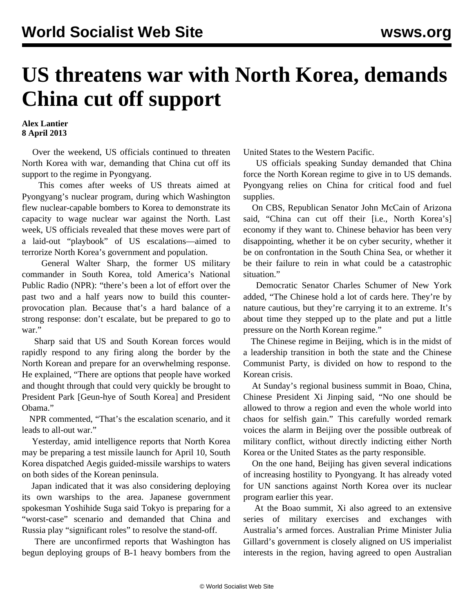## **US threatens war with North Korea, demands China cut off support**

## **Alex Lantier 8 April 2013**

 Over the weekend, US officials continued to threaten North Korea with war, demanding that China cut off its support to the regime in Pyongyang.

 This comes after weeks of US threats aimed at Pyongyang's nuclear program, during which Washington flew nuclear-capable bombers to Korea to demonstrate its capacity to wage nuclear war against the North. Last week, US officials revealed that these moves were part of a laid-out "playbook" of US escalations—aimed to terrorize North Korea's government and population.

 General Walter Sharp, the former US military commander in South Korea, told America's National Public Radio (NPR): "there's been a lot of effort over the past two and a half years now to build this counterprovocation plan. Because that's a hard balance of a strong response: don't escalate, but be prepared to go to war."

 Sharp said that US and South Korean forces would rapidly respond to any firing along the border by the North Korean and prepare for an overwhelming response. He explained, "There are options that people have worked and thought through that could very quickly be brought to President Park [Geun-hye of South Korea] and President Obama."

 NPR commented, "That's the escalation scenario, and it leads to all-out war."

 Yesterday, amid intelligence reports that North Korea may be preparing a test missile launch for April 10, South Korea dispatched Aegis guided-missile warships to waters on both sides of the Korean peninsula.

 Japan indicated that it was also considering deploying its own warships to the area. Japanese government spokesman Yoshihide Suga said Tokyo is preparing for a "worst-case" scenario and demanded that China and Russia play "significant roles" to resolve the stand-off.

 There are unconfirmed reports that Washington has begun deploying groups of B-1 heavy bombers from the United States to the Western Pacific.

 US officials speaking Sunday demanded that China force the North Korean regime to give in to US demands. Pyongyang relies on China for critical food and fuel supplies.

 On CBS, Republican Senator John McCain of Arizona said, "China can cut off their [i.e., North Korea's] economy if they want to. Chinese behavior has been very disappointing, whether it be on cyber security, whether it be on confrontation in the South China Sea, or whether it be their failure to rein in what could be a catastrophic situation."

 Democratic Senator Charles Schumer of New York added, "The Chinese hold a lot of cards here. They're by nature cautious, but they're carrying it to an extreme. It's about time they stepped up to the plate and put a little pressure on the North Korean regime."

 The Chinese regime in Beijing, which is in the midst of a leadership transition in both the state and the Chinese Communist Party, is divided on how to respond to the Korean crisis.

 At Sunday's regional business summit in Boao, China, Chinese President Xi Jinping said, "No one should be allowed to throw a region and even the whole world into chaos for selfish gain." This carefully worded remark voices the alarm in Beijing over the possible outbreak of military conflict, without directly indicting either North Korea or the United States as the party responsible.

 On the one hand, Beijing has given several indications of increasing hostility to Pyongyang. It has already voted for UN sanctions against North Korea over its nuclear program earlier this year.

 At the Boao summit, Xi also agreed to an extensive series of military exercises and exchanges with Australia's armed forces. Australian Prime Minister Julia Gillard's government is closely aligned on US imperialist interests in the region, having agreed to open Australian